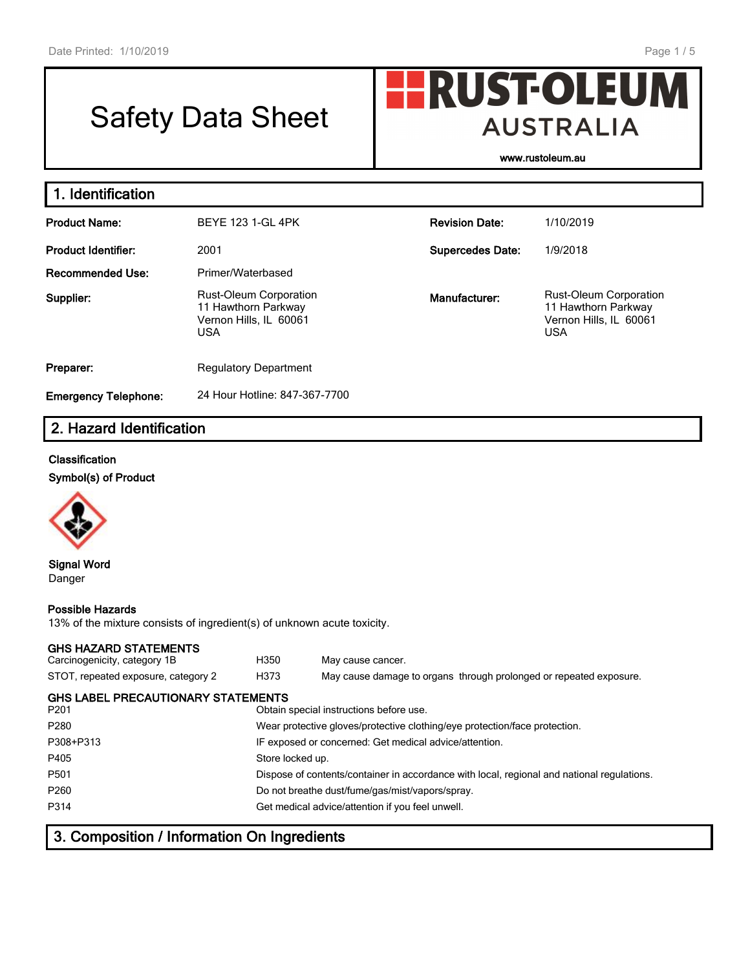# Safety Data Sheet

**www.rustoleum.au**

**AUSTRALIA** 

**HRUST-OLEUM** 

| 1. Identification           |                                                                                              |                         |                                                                                              |  |  |  |  |
|-----------------------------|----------------------------------------------------------------------------------------------|-------------------------|----------------------------------------------------------------------------------------------|--|--|--|--|
| <b>Product Name:</b>        | <b>BEYE 123 1-GL 4PK</b>                                                                     | <b>Revision Date:</b>   | 1/10/2019                                                                                    |  |  |  |  |
| <b>Product Identifier:</b>  | 2001                                                                                         | <b>Supercedes Date:</b> | 1/9/2018                                                                                     |  |  |  |  |
| Recommended Use:            | Primer/Waterbased                                                                            |                         |                                                                                              |  |  |  |  |
| Supplier:                   | <b>Rust-Oleum Corporation</b><br>11 Hawthorn Parkway<br>Vernon Hills, IL 60061<br><b>USA</b> | Manufacturer:           | <b>Rust-Oleum Corporation</b><br>11 Hawthorn Parkway<br>Vernon Hills, IL 60061<br><b>USA</b> |  |  |  |  |
| Preparer:                   | <b>Regulatory Department</b>                                                                 |                         |                                                                                              |  |  |  |  |
| <b>Emergency Telephone:</b> | 24 Hour Hotline: 847-367-7700                                                                |                         |                                                                                              |  |  |  |  |

# **2. Hazard Identification**

#### **Classification**

**Symbol(s) of Product**



**Signal Word** Danger

#### **Possible Hazards**

13% of the mixture consists of ingredient(s) of unknown acute toxicity.

#### **GHS HAZARD STATEMENTS**

| GHS HAZARD STATEMENTS<br>Carcinogenicity, category 1B         | H350                                            | May cause cancer.                                                                          |  |  |  |  |
|---------------------------------------------------------------|-------------------------------------------------|--------------------------------------------------------------------------------------------|--|--|--|--|
| STOT, repeated exposure, category 2                           | H373                                            | May cause damage to organs through prolonged or repeated exposure.                         |  |  |  |  |
| <b>GHS LABEL PRECAUTIONARY STATEMENTS</b><br>P <sub>201</sub> |                                                 | Obtain special instructions before use.                                                    |  |  |  |  |
| P <sub>280</sub>                                              |                                                 | Wear protective gloves/protective clothing/eye protection/face protection.                 |  |  |  |  |
| P308+P313                                                     |                                                 | IF exposed or concerned: Get medical advice/attention.                                     |  |  |  |  |
| P405                                                          | Store locked up.                                |                                                                                            |  |  |  |  |
| P <sub>501</sub>                                              |                                                 | Dispose of contents/container in accordance with local, regional and national regulations. |  |  |  |  |
| P <sub>260</sub>                                              | Do not breathe dust/fume/gas/mist/vapors/spray. |                                                                                            |  |  |  |  |
| P314                                                          |                                                 | Get medical advice/attention if you feel unwell.                                           |  |  |  |  |
|                                                               |                                                 |                                                                                            |  |  |  |  |

# **3. Composition / Information On Ingredients**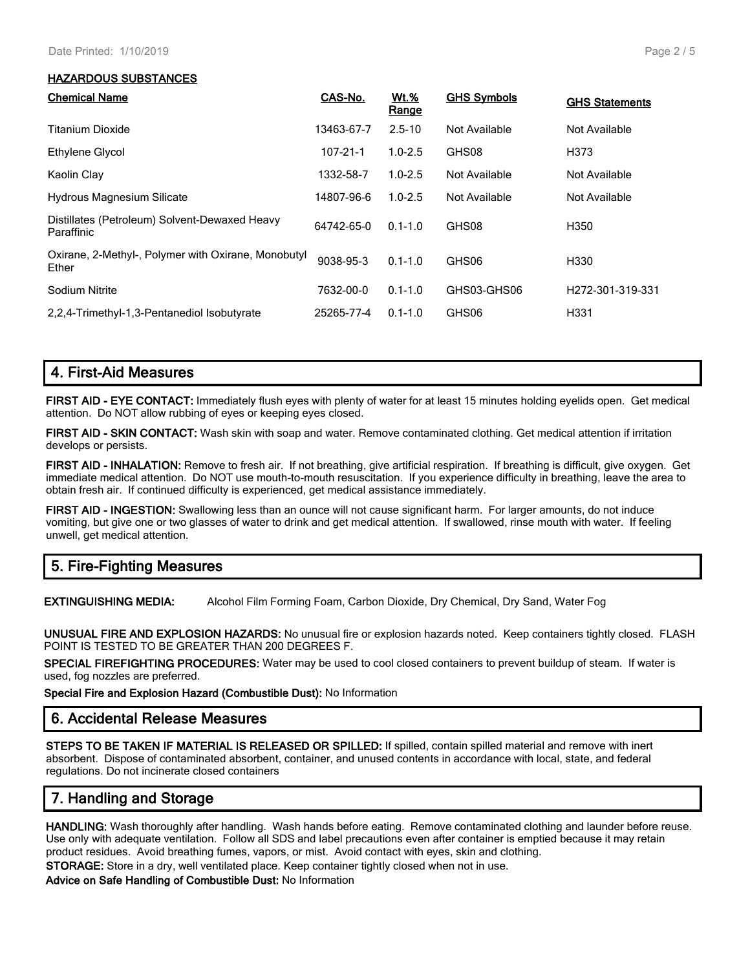#### **HAZARDOUS SUBSTANCES**

| <b>Chemical Name</b>                                         | CAS-No.    | <b>Wt.%</b><br>Range | <b>GHS Symbols</b> | <b>GHS Statements</b> |
|--------------------------------------------------------------|------------|----------------------|--------------------|-----------------------|
| <b>Titanium Dioxide</b>                                      | 13463-67-7 | $2.5 - 10$           | Not Available      | Not Available         |
| Ethylene Glycol                                              | 107-21-1   | $1.0 - 2.5$          | GHS08              | H373                  |
| Kaolin Clay                                                  | 1332-58-7  | $1.0 - 2.5$          | Not Available      | Not Available         |
| <b>Hydrous Magnesium Silicate</b>                            | 14807-96-6 | $1.0 - 2.5$          | Not Available      | Not Available         |
| Distillates (Petroleum) Solvent-Dewaxed Heavy<br>Paraffinic  | 64742-65-0 | $0.1 - 1.0$          | GHS08              | H350                  |
| Oxirane, 2-Methyl-, Polymer with Oxirane, Monobutyl<br>Ether | 9038-95-3  | $0.1 - 1.0$          | GHS06              | H330                  |
| Sodium Nitrite                                               | 7632-00-0  | $0.1 - 1.0$          | GHS03-GHS06        | H272-301-319-331      |
| 2.2.4-Trimethyl-1.3-Pentanediol Isobutyrate                  | 25265-77-4 | $0.1 - 1.0$          | GHS06              | H331                  |

## **4. First-Aid Measures**

**FIRST AID - EYE CONTACT:** Immediately flush eyes with plenty of water for at least 15 minutes holding eyelids open. Get medical attention. Do NOT allow rubbing of eyes or keeping eyes closed.

**FIRST AID - SKIN CONTACT:** Wash skin with soap and water. Remove contaminated clothing. Get medical attention if irritation develops or persists.

**FIRST AID - INHALATION:** Remove to fresh air. If not breathing, give artificial respiration. If breathing is difficult, give oxygen. Get immediate medical attention. Do NOT use mouth-to-mouth resuscitation. If you experience difficulty in breathing, leave the area to obtain fresh air. If continued difficulty is experienced, get medical assistance immediately.

**FIRST AID - INGESTION:** Swallowing less than an ounce will not cause significant harm. For larger amounts, do not induce vomiting, but give one or two glasses of water to drink and get medical attention. If swallowed, rinse mouth with water. If feeling unwell, get medical attention.

## **5. Fire-Fighting Measures**

**EXTINGUISHING MEDIA:** Alcohol Film Forming Foam, Carbon Dioxide, Dry Chemical, Dry Sand, Water Fog

**UNUSUAL FIRE AND EXPLOSION HAZARDS:** No unusual fire or explosion hazards noted. Keep containers tightly closed. FLASH POINT IS TESTED TO BE GREATER THAN 200 DEGREES F.

**SPECIAL FIREFIGHTING PROCEDURES:** Water may be used to cool closed containers to prevent buildup of steam. If water is used, fog nozzles are preferred.

**Special Fire and Explosion Hazard (Combustible Dust):** No Information

#### **6. Accidental Release Measures**

**STEPS TO BE TAKEN IF MATERIAL IS RELEASED OR SPILLED:** If spilled, contain spilled material and remove with inert absorbent. Dispose of contaminated absorbent, container, and unused contents in accordance with local, state, and federal regulations. Do not incinerate closed containers

## **7. Handling and Storage**

**HANDLING:** Wash thoroughly after handling. Wash hands before eating. Remove contaminated clothing and launder before reuse. Use only with adequate ventilation. Follow all SDS and label precautions even after container is emptied because it may retain product residues. Avoid breathing fumes, vapors, or mist. Avoid contact with eyes, skin and clothing.

**STORAGE:** Store in a dry, well ventilated place. Keep container tightly closed when not in use.

**Advice on Safe Handling of Combustible Dust:** No Information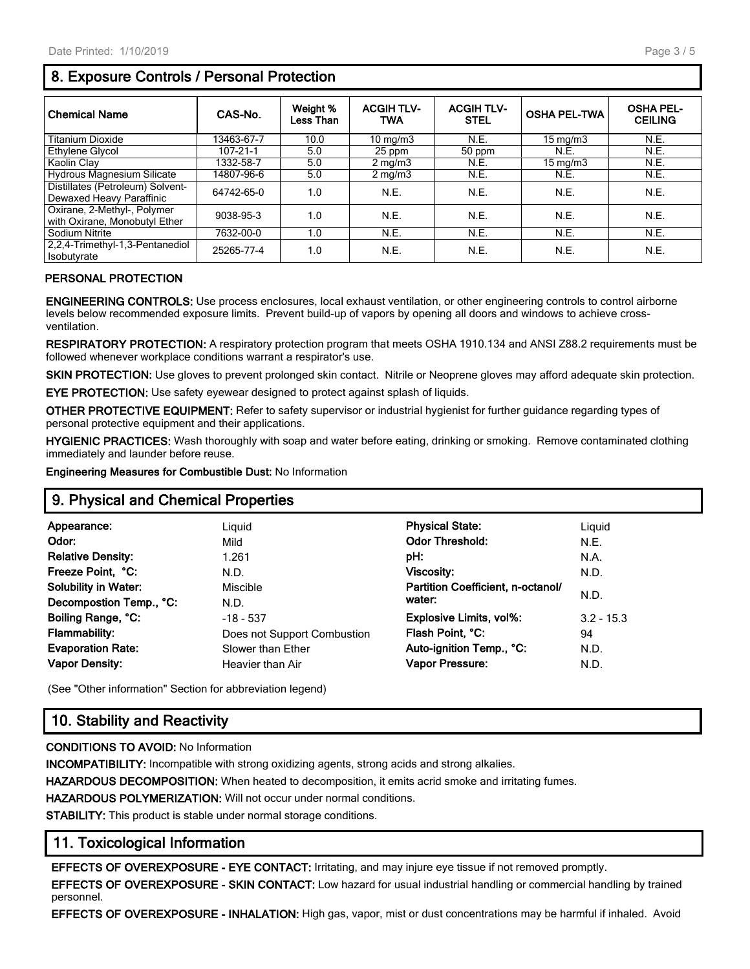# **8. Exposure Controls / Personal Protection**

| <b>Chemical Name</b>                                         | CAS-No.    | Weight %<br>Less Than | <b>ACGIH TLV-</b><br>TWA | <b>ACGIH TLV-</b><br><b>STEL</b> | <b>OSHA PEL-TWA</b> | <b>OSHA PEL-</b><br><b>CEILING</b> |
|--------------------------------------------------------------|------------|-----------------------|--------------------------|----------------------------------|---------------------|------------------------------------|
| Titanium Dioxide                                             | 13463-67-7 | 10.0                  | 10 mg/m $3$              | N.E.                             | $15 \text{ mg/m}$   | N.E.                               |
| Ethylene Glycol                                              | 107-21-1   | 5.0                   | 25 ppm                   | 50 ppm                           | N.E.                | N.E.                               |
| Kaolin Clay                                                  | 1332-58-7  | 5.0                   | $2 \text{ mg/m}$         | N.E.                             | $15 \text{ mg/m}$   | N.E.                               |
| Hydrous Magnesium Silicate                                   | 14807-96-6 | 5.0                   | $2 \text{ mg/m}$         | N.E.                             | N.E.                | N.E.                               |
| Distillates (Petroleum) Solvent-<br>Dewaxed Heavy Paraffinic | 64742-65-0 | 1.0                   | N.E.                     | N.E.                             | N.E.                | N.E.                               |
| Oxirane, 2-Methyl-, Polymer<br>with Oxirane, Monobutyl Ether | 9038-95-3  | 1.0                   | N.E.                     | N.E.                             | N.E.                | N.E.                               |
| Sodium Nitrite                                               | 7632-00-0  | 1.0                   | N.E.                     | N.E.                             | N.E.                | N.E.                               |
| 2,2,4-Trimethyl-1,3-Pentanediol<br>Isobutyrate               | 25265-77-4 | 1.0                   | N.E.                     | N.E.                             | N.E.                | N.E.                               |

#### **PERSONAL PROTECTION**

**ENGINEERING CONTROLS:** Use process enclosures, local exhaust ventilation, or other engineering controls to control airborne levels below recommended exposure limits. Prevent build-up of vapors by opening all doors and windows to achieve crossventilation.

**RESPIRATORY PROTECTION:** A respiratory protection program that meets OSHA 1910.134 and ANSI Z88.2 requirements must be followed whenever workplace conditions warrant a respirator's use.

**SKIN PROTECTION:** Use gloves to prevent prolonged skin contact. Nitrile or Neoprene gloves may afford adequate skin protection.

**EYE PROTECTION:** Use safety eyewear designed to protect against splash of liquids.

**OTHER PROTECTIVE EQUIPMENT:** Refer to safety supervisor or industrial hygienist for further guidance regarding types of personal protective equipment and their applications.

**HYGIENIC PRACTICES:** Wash thoroughly with soap and water before eating, drinking or smoking. Remove contaminated clothing immediately and launder before reuse.

**Engineering Measures for Combustible Dust:** No Information

## **9. Physical and Chemical Properties**

| Appearance:                 | Liguid                      | <b>Physical State:</b>            | Liguid       |
|-----------------------------|-----------------------------|-----------------------------------|--------------|
| Odor:                       | Mild                        | <b>Odor Threshold:</b>            | N.E.         |
| <b>Relative Density:</b>    | 1.261                       | pH:                               | N.A.         |
| Freeze Point, °C:           | N.D.                        | <b>Viscosity:</b>                 | N.D.         |
| <b>Solubility in Water:</b> | Miscible                    | Partition Coefficient. n-octanol/ |              |
| Decompostion Temp., °C:     | N.D.                        | water:                            | N.D.         |
| Boiling Range, °C:          | $-18 - 537$                 | <b>Explosive Limits, vol%:</b>    | $3.2 - 15.3$ |
| <b>Flammability:</b>        | Does not Support Combustion | Flash Point, °C:                  | 94           |
| <b>Evaporation Rate:</b>    | Slower than Ether           | Auto-ignition Temp., °C:          | N.D.         |
| <b>Vapor Density:</b>       | Heavier than Air            | <b>Vapor Pressure:</b>            | N.D.         |
|                             |                             |                                   |              |

(See "Other information" Section for abbreviation legend)

# **10. Stability and Reactivity**

#### **CONDITIONS TO AVOID:** No Information

**INCOMPATIBILITY:** Incompatible with strong oxidizing agents, strong acids and strong alkalies.

**HAZARDOUS DECOMPOSITION:** When heated to decomposition, it emits acrid smoke and irritating fumes.

**HAZARDOUS POLYMERIZATION:** Will not occur under normal conditions.

**STABILITY:** This product is stable under normal storage conditions.

## **11. Toxicological Information**

**EFFECTS OF OVEREXPOSURE - EYE CONTACT:** Irritating, and may injure eye tissue if not removed promptly.

**EFFECTS OF OVEREXPOSURE - SKIN CONTACT:** Low hazard for usual industrial handling or commercial handling by trained personnel.

**EFFECTS OF OVEREXPOSURE - INHALATION:** High gas, vapor, mist or dust concentrations may be harmful if inhaled. Avoid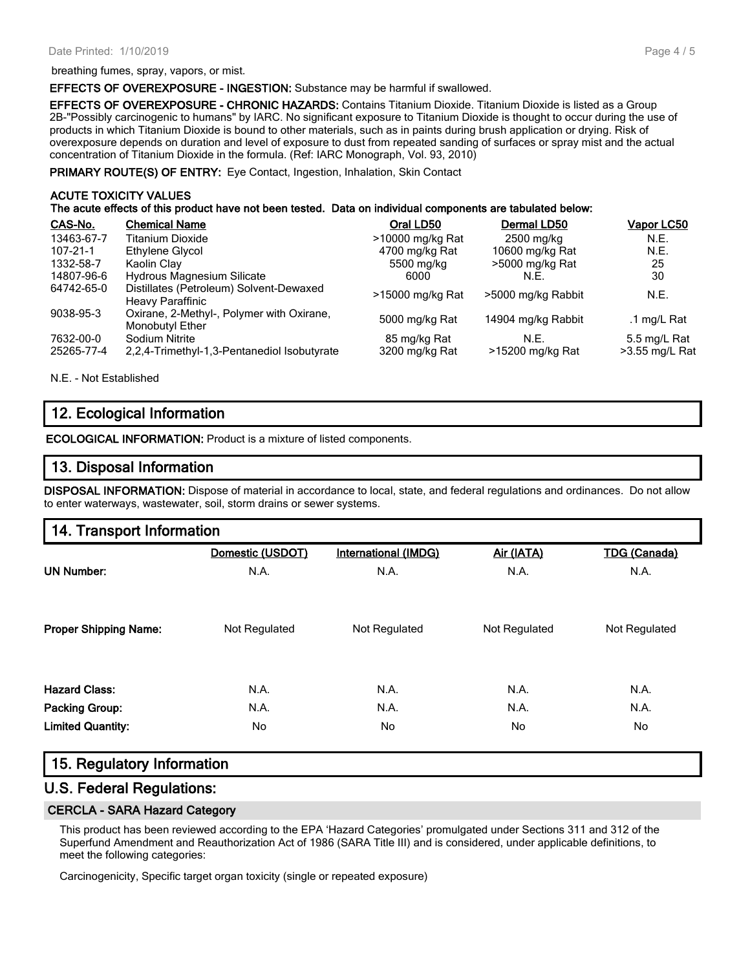**EFFECTS OF OVEREXPOSURE - INGESTION:** Substance may be harmful if swallowed.

**EFFECTS OF OVEREXPOSURE - CHRONIC HAZARDS:** Contains Titanium Dioxide. Titanium Dioxide is listed as a Group 2B-"Possibly carcinogenic to humans" by IARC. No significant exposure to Titanium Dioxide is thought to occur during the use of products in which Titanium Dioxide is bound to other materials, such as in paints during brush application or drying. Risk of overexposure depends on duration and level of exposure to dust from repeated sanding of surfaces or spray mist and the actual concentration of Titanium Dioxide in the formula. (Ref: IARC Monograph, Vol. 93, 2010)

**PRIMARY ROUTE(S) OF ENTRY:** Eye Contact, Ingestion, Inhalation, Skin Contact

#### **ACUTE TOXICITY VALUES**

**The acute effects of this product have not been tested. Data on individual components are tabulated below:**

| CAS-No.                 | <b>Chemical Name</b>                                               | Oral LD50                      | Dermal LD50              | Vapor LC50                     |
|-------------------------|--------------------------------------------------------------------|--------------------------------|--------------------------|--------------------------------|
| 13463-67-7              | Titanium Dioxide                                                   | >10000 mg/kg Rat               | 2500 mg/kg               | N.E.                           |
| $107 - 21 - 1$          | Ethylene Glycol                                                    | 4700 mg/kg Rat                 | 10600 mg/kg Rat          | N.E.                           |
| 1332-58-7               | Kaolin Clay                                                        | 5500 mg/kg                     | >5000 mg/kg Rat          | 25                             |
| 14807-96-6              | <b>Hydrous Magnesium Silicate</b>                                  | 6000                           | N.E.                     | 30                             |
| 64742-65-0              | Distillates (Petroleum) Solvent-Dewaxed<br><b>Heavy Paraffinic</b> | >15000 mg/kg Rat               | >5000 mg/kg Rabbit       | N.E.                           |
| 9038-95-3               | Oxirane, 2-Methyl-, Polymer with Oxirane,<br>Monobutyl Ether       | 5000 mg/kg Rat                 | 14904 mg/kg Rabbit       | .1 mg/L Rat                    |
| 7632-00-0<br>25265-77-4 | Sodium Nitrite<br>2.2.4-Trimethyl-1.3-Pentanediol Isobutyrate      | 85 mg/kg Rat<br>3200 mg/kg Rat | N.F.<br>>15200 mg/kg Rat | 5.5 mg/L Rat<br>>3.55 mg/L Rat |

N.E. - Not Established

## **12. Ecological Information**

**ECOLOGICAL INFORMATION:** Product is a mixture of listed components.

## **13. Disposal Information**

**DISPOSAL INFORMATION:** Dispose of material in accordance to local, state, and federal regulations and ordinances. Do not allow to enter waterways, wastewater, soil, storm drains or sewer systems.

| 14. Transport Information |
|---------------------------|
|---------------------------|

|                              | Domestic (USDOT) | International (IMDG) | Air (IATA)    | <b>TDG (Canada)</b> |
|------------------------------|------------------|----------------------|---------------|---------------------|
| <b>UN Number:</b>            | N.A.             | N.A.                 | N.A.          | N.A.                |
| <b>Proper Shipping Name:</b> | Not Regulated    | Not Regulated        | Not Regulated | Not Regulated       |
| <b>Hazard Class:</b>         | N.A.             | N.A.                 | N.A.          | N.A.                |
| <b>Packing Group:</b>        | N.A.             | N.A.                 | N.A.          | N.A.                |
| <b>Limited Quantity:</b>     | No               | No                   | No.           | No                  |

## **15. Regulatory Information**

### **U.S. Federal Regulations:**

#### **CERCLA - SARA Hazard Category**

This product has been reviewed according to the EPA 'Hazard Categories' promulgated under Sections 311 and 312 of the Superfund Amendment and Reauthorization Act of 1986 (SARA Title III) and is considered, under applicable definitions, to meet the following categories:

Carcinogenicity, Specific target organ toxicity (single or repeated exposure)